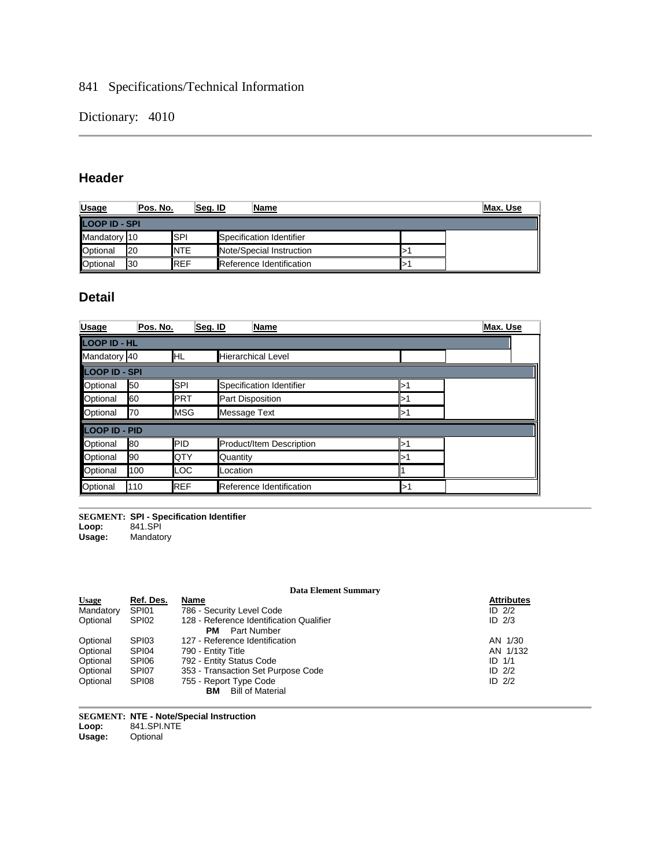## 841 Specifications/Technical Information

Dictionary: 4010

## **Header**

| <b>Usage</b>         | Pos. No.  | Seq. ID     | <u>Name</u>              | Max. Use |
|----------------------|-----------|-------------|--------------------------|----------|
| <b>LOOP ID - SPI</b> |           |             |                          |          |
| Mandatory 10         |           | <b>ISPI</b> | Specification Identifier |          |
| <b>Optional</b>      | <b>20</b> | <b>NTE</b>  | Note/Special Instruction |          |
| <b>Optional</b>      | 130       | <b>REF</b>  | Reference Identification |          |

## **Detail**

| <b>Usage</b>    | Pos. No.            |            | Seg. ID<br>Name           |     | Max. Use |  |  |
|-----------------|---------------------|------------|---------------------------|-----|----------|--|--|
|                 | <b>LOOP ID - HL</b> |            |                           |     |          |  |  |
| Mandatory 40    |                     | HL         | <b>Hierarchical Level</b> |     |          |  |  |
| LOOP ID - SPI   |                     |            |                           |     |          |  |  |
| Optional        | 50                  | <b>SPI</b> | Specification Identifier  | >1  |          |  |  |
| Optional        | 60                  | <b>PRT</b> | Part Disposition          | >1  |          |  |  |
| Optional        | 170                 | <b>MSG</b> | Message Text              | >1  |          |  |  |
| LOOP ID - PID   |                     |            |                           |     |          |  |  |
| Optional        | 80                  | PID        | Product/Item Description  | >1  |          |  |  |
| Optional        | 90                  | QTY        | Quantity                  | >1  |          |  |  |
| <b>Optional</b> | 100                 | LOC        | .ocation                  |     |          |  |  |
| Optional        | 110                 | <b>REF</b> | Reference Identification  | l>' |          |  |  |

**SEGMENT: SPI - Specification Identifier**

Loop:<br>Usage: **Usage:** Mandatory

#### **Data Element Summary**

| Ref. Des. | Name                                     | <b>Attributes</b> |
|-----------|------------------------------------------|-------------------|
| SPI01     | 786 - Security Level Code                | ID $2/2$          |
| SPI02     | 128 - Reference Identification Qualifier | $ID$ $2/3$        |
|           |                                          |                   |
| SPI03     | 127 - Reference Identification           | AN 1/30           |
| SPI04     | 790 - Entity Title                       | AN 1/132          |
| SPI06     | 792 - Entity Status Code                 | $ID$ $1/1$        |
| SPI07     | 353 - Transaction Set Purpose Code       | ID $2/2$          |
| SPI08     | 755 - Report Type Code                   | ID $2/2$          |
|           | <b>Bill of Material</b><br>ΒМ            |                   |
|           |                                          | Part Number<br>PМ |

**SEGMENT: NTE - Note/Special Instruction Loop:** 841.SPI.NTE **Usage:** Optional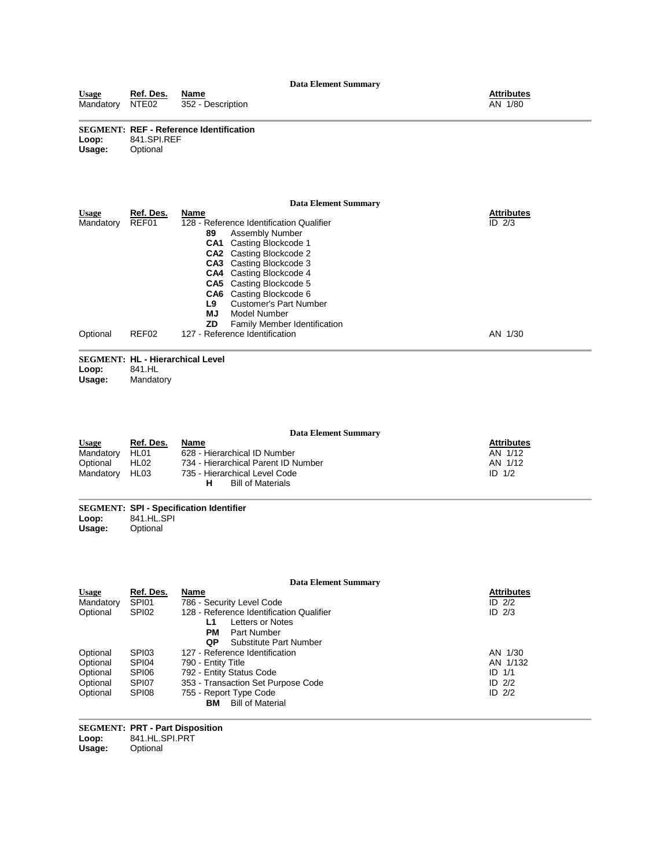#### **SEGMENT: REF - Reference Identification Loop:** 841.SPI.REF **Usage:** Optional

#### **Data Element Summary**

| <b>Usage</b> | Ref. Des. | Name                                       | <b>Attributes</b> |
|--------------|-----------|--------------------------------------------|-------------------|
| Mandatory    | REF01     | 128 - Reference Identification Qualifier   | ID $2/3$          |
|              |           | 89<br>Assembly Number                      |                   |
|              |           | <b>CA1</b> Casting Blockcode 1             |                   |
|              |           | <b>CA2</b> Casting Blockcode 2             |                   |
|              |           | <b>CA3</b> Casting Blockcode 3             |                   |
|              |           | <b>CA4</b> Casting Blockcode 4             |                   |
|              |           | <b>CA5</b> Casting Blockcode 5             |                   |
|              |           | <b>CA6</b> Casting Blockcode 6             |                   |
|              |           | <b>Customer's Part Number</b><br>L9        |                   |
|              |           | ΜJ<br>Model Number                         |                   |
|              |           | ZD.<br><b>Family Member Identification</b> |                   |
| Optional     | REF02     | 127 - Reference Identification             | AN 1/30           |

|          | <b>SEGMENT: HL - Hierarchical Level</b> |  |
|----------|-----------------------------------------|--|
| $I$ cont | $011 \; \text{L}$                       |  |

**Loop:** 841.HL **Mandatory** 

**Data Element Summary Usage Ref. Des. Name Attributes** Mandatory HL01 628 - Hierarchical ID Number AN 102 - AN 1/12 Usage Ref. Des. Name<br>
Mandatory HL01 628 - Hierarchical ID Number<br>
Optional HL02 734 - Hierarchical Parent ID Number<br>
Mandatory HL03 735 - Hierarchical Level Code 735 - Hierarchical Level Code<br>HBill of Materials AN 1/12<br>AN 1/12<br>ID 1/2

**Bill of Materials** 

# **SEGMENT: SPI - Specification Identifier**

**Loop:** 841.HL.SPI **Usage:** Optional

|              |                   | <b>Data Element Summary</b>              |                   |
|--------------|-------------------|------------------------------------------|-------------------|
| <b>Usage</b> | Ref. Des.         | Name                                     | <b>Attributes</b> |
| Mandatory    | SPI01             | 786 - Security Level Code                | ID $2/2$          |
| Optional     | SPI <sub>02</sub> | 128 - Reference Identification Qualifier | ID $2/3$          |
|              |                   | Letters or Notes<br>L1                   |                   |
|              |                   | PМ<br>Part Number                        |                   |
|              |                   | Substitute Part Number<br>QP             |                   |
| Optional     | SPI03             | 127 - Reference Identification           | AN 1/30           |
| Optional     | SPI04             | 790 - Entity Title                       | AN 1/132          |
| Optional     | SPI06             | 792 - Entity Status Code                 | $ID$ $1/1$        |
| Optional     | SPI07             | 353 - Transaction Set Purpose Code       | ID $2/2$          |
| Optional     | SPI08             | 755 - Report Type Code                   | ID $2/2$          |
|              |                   | <b>Bill of Material</b><br>вм            |                   |

**SEGMENT: PRT - Part Disposition Loop:** 841.HL.SPI.PRT **Optional**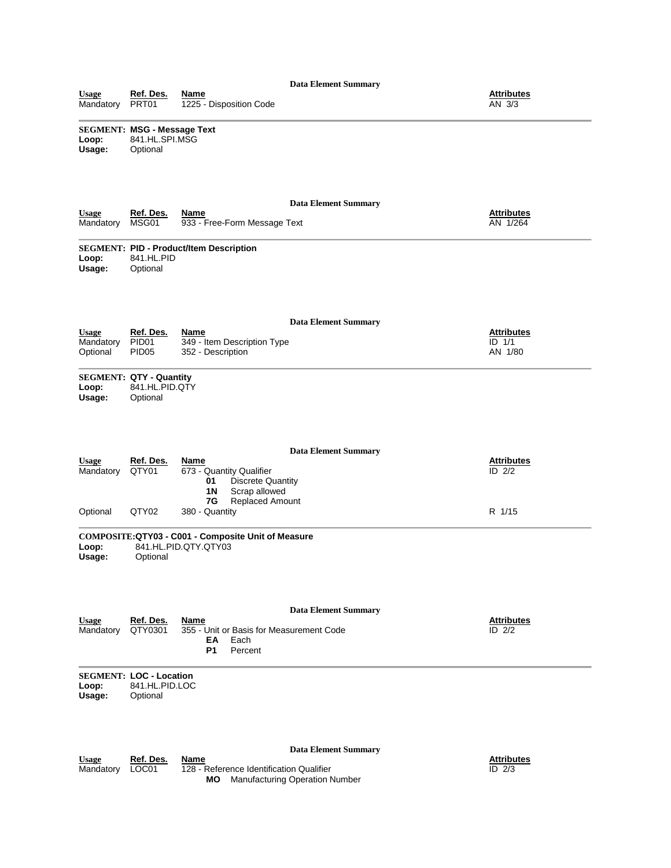| <b>Data Element Summary</b>           |                                                                  |                                                                                                                                 |                                            |  |  |
|---------------------------------------|------------------------------------------------------------------|---------------------------------------------------------------------------------------------------------------------------------|--------------------------------------------|--|--|
| <b>Usage</b><br>Mandatory             | Ref. Des.<br>PRT01                                               | <u>Name</u><br>1225 - Disposition Code                                                                                          | <b>Attributes</b><br>AN 3/3                |  |  |
| Loop:<br>Usage:                       | <b>SEGMENT: MSG - Message Text</b><br>841.HL.SPI.MSG<br>Optional |                                                                                                                                 |                                            |  |  |
| <b>Usage</b><br>Mandatory             | Ref. Des.<br>MSG01                                               | <b>Data Element Summary</b><br>Name<br>933 - Free-Form Message Text                                                             | <b>Attributes</b><br>AN 1/264              |  |  |
| Loop:<br>Usage:                       | 841.HL.PID<br>Optional                                           | <b>SEGMENT: PID - Product/Item Description</b>                                                                                  |                                            |  |  |
| <b>Usage</b><br>Mandatory<br>Optional | Ref. Des.<br>PID <sub>01</sub><br>PID <sub>05</sub>              | <b>Data Element Summary</b><br>Name<br>349 - Item Description Type<br>352 - Description                                         | <b>Attributes</b><br>$ID$ $1/1$<br>AN 1/80 |  |  |
| Loop:<br>Usage:                       | <b>SEGMENT: QTY - Quantity</b><br>841.HL.PID.QTY<br>Optional     |                                                                                                                                 |                                            |  |  |
| <b>Usage</b><br>Mandatory             | Ref. Des.<br>QTY01                                               | <b>Data Element Summary</b><br>Name<br>673 - Quantity Qualifier<br>01<br><b>Discrete Quantity</b><br>Scrap allowed<br><b>1N</b> | <b>Attributes</b><br>$ID$ $2/2$            |  |  |
| Optional                              | QTY02                                                            | 7G<br>Replaced Amount<br>380 - Quantity                                                                                         | R 1/15                                     |  |  |
| Loop:<br>Usage:                       | Optional                                                         | COMPOSITE:QTY03 - C001 - Composite Unit of Measure<br>841.HL.PID.QTY.QTY03                                                      |                                            |  |  |
| <b>Usage</b><br>Mandatory             | Ref. Des.<br>QTY0301                                             | <b>Data Element Summary</b><br>Name<br>355 - Unit or Basis for Measurement Code<br>ΕA<br>Each<br>P <sub>1</sub><br>Percent      | <b>Attributes</b><br>$ID$ $2/2$            |  |  |
| Loop:<br>Usage:                       | <b>SEGMENT: LOC - Location</b><br>841.HL.PID.LOC<br>Optional     |                                                                                                                                 |                                            |  |  |
| <b>Usage</b><br>Mandatory             | Ref. Des.<br>LOC01                                               | <b>Data Element Summary</b><br>Name<br>128 - Reference Identification Qualifier<br>Manufacturing Operation Number<br>МO         | <b>Attributes</b><br>ID 2/3                |  |  |